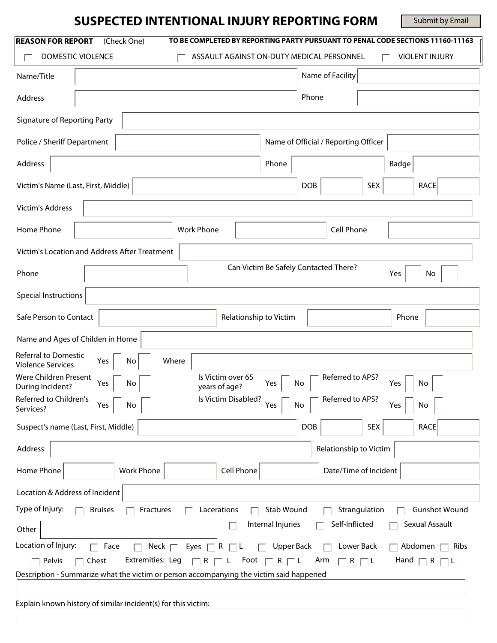# **SUSPECTED INTENTIONAL INJURY REPORTING FORM**

Submit by Email

| <b>REASON FOR REPORT</b><br>(Check One)<br>DOMESTIC VIOLENCE<br>ASSAULT AGAINST ON-DUTY MEDICAL PERSONNEL                                                                                                                                                                                                                                                                    | TO BE COMPLETED BY REPORTING PARTY PURSUANT TO PENAL CODE SECTIONS 11160-11163<br><b>VIOLENT INJURY</b> |  |  |
|------------------------------------------------------------------------------------------------------------------------------------------------------------------------------------------------------------------------------------------------------------------------------------------------------------------------------------------------------------------------------|---------------------------------------------------------------------------------------------------------|--|--|
| Name/Title                                                                                                                                                                                                                                                                                                                                                                   | Name of Facility                                                                                        |  |  |
| Address                                                                                                                                                                                                                                                                                                                                                                      | Phone                                                                                                   |  |  |
| Signature of Reporting Party                                                                                                                                                                                                                                                                                                                                                 |                                                                                                         |  |  |
| Police / Sheriff Department<br>Name of Official / Reporting Officer                                                                                                                                                                                                                                                                                                          |                                                                                                         |  |  |
| Address<br>Phone                                                                                                                                                                                                                                                                                                                                                             | Badge                                                                                                   |  |  |
| Victim's Name (Last, First, Middle)                                                                                                                                                                                                                                                                                                                                          | <b>DOB</b><br><b>SEX</b><br><b>RACE</b>                                                                 |  |  |
| <b>Victim's Address</b>                                                                                                                                                                                                                                                                                                                                                      |                                                                                                         |  |  |
| Home Phone<br><b>Work Phone</b>                                                                                                                                                                                                                                                                                                                                              | Cell Phone                                                                                              |  |  |
| Victim's Location and Address After Treatment                                                                                                                                                                                                                                                                                                                                |                                                                                                         |  |  |
| Can Victim Be Safely Contacted There?<br>Phone<br>No<br>Yes                                                                                                                                                                                                                                                                                                                  |                                                                                                         |  |  |
| <b>Special Instructions</b>                                                                                                                                                                                                                                                                                                                                                  |                                                                                                         |  |  |
| Safe Person to Contact<br>Relationship to Victim                                                                                                                                                                                                                                                                                                                             | Phone                                                                                                   |  |  |
| Name and Ages of Childen in Home                                                                                                                                                                                                                                                                                                                                             |                                                                                                         |  |  |
| <b>Referral to Domestic</b><br>Where<br>No<br>Yes<br><b>Violence Services</b><br>Were Children Present<br>Is Victim over 65<br>Referred to APS?<br>Yes<br>No<br>Yes<br>No<br>Yes<br>No<br>During Incident?<br>years of age?<br>Referred to Children's<br>Is Victim Disabled?<br>Referred to APS?<br>Yes<br>Yes<br>No<br>Yes<br>No<br>No<br>Services?                         |                                                                                                         |  |  |
| Suspect's name (Last, First, Middle)                                                                                                                                                                                                                                                                                                                                         | <b>DOB</b><br><b>SEX</b><br><b>RACE</b>                                                                 |  |  |
| Address                                                                                                                                                                                                                                                                                                                                                                      | Relationship to Victim                                                                                  |  |  |
| Cell Phone<br>Home Phone<br>Work Phone                                                                                                                                                                                                                                                                                                                                       | Date/Time of Incident                                                                                   |  |  |
| Location & Address of Incident                                                                                                                                                                                                                                                                                                                                               |                                                                                                         |  |  |
| Type of Injury:<br>Stab Wound<br>Strangulation<br><b>Gunshot Wound</b><br><b>Bruises</b><br>Lacerations<br>Fractures                                                                                                                                                                                                                                                         |                                                                                                         |  |  |
| Internal Injuries<br>Other                                                                                                                                                                                                                                                                                                                                                   | Self-Inflicted<br>Sexual Assault                                                                        |  |  |
| Location of Injury:<br>Face<br>Neck $\Box$<br>$\Box$ Abdomen $\Box$ Ribs<br>Eyes $\Box$ R $\Box$ L<br>Upper Back<br>Lower Back<br>Extremities: Leg<br>Hand $\Box$ R $\Box$ L<br>Foot $\Box$ R $\Box$ L<br>Arm<br>Pelvis<br>$\Box$ Chest<br>$\Box$ R $\Box$ L<br>$\Box$ R $\Box$ L<br>Description - Summarize what the victim or person accompanying the victim said happened |                                                                                                         |  |  |
|                                                                                                                                                                                                                                                                                                                                                                              |                                                                                                         |  |  |
| Explain known history of similar incident(s) for this victim:                                                                                                                                                                                                                                                                                                                |                                                                                                         |  |  |
|                                                                                                                                                                                                                                                                                                                                                                              |                                                                                                         |  |  |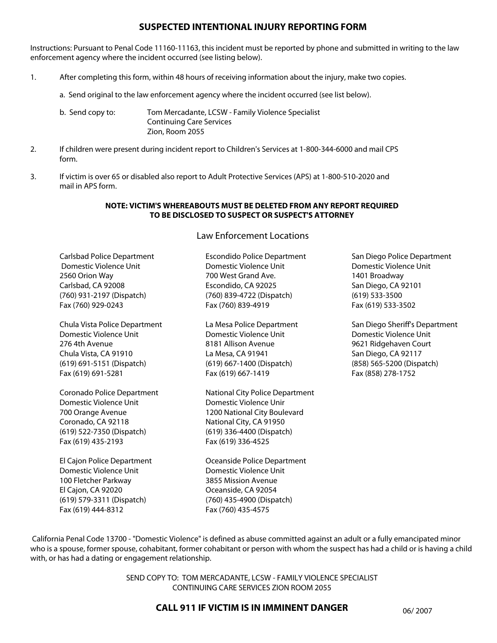### **SUSPECTED INTENTIONAL INJURY REPORTING FORM**

Instructions: Pursuant to Penal Code 11160-11163, this incident must be reported by phone and submitted in writing to the law enforcement agency where the incident occurred (see listing below).

- 1. After completing this form, within 48 hours of receiving information about the injury, make two copies.
	- a. Send original to the law enforcement agency where the incident occurred (see list below).
	- b. Send copy to: Tom Mercadante, LCSW Family Violence Specialist Continuing Care Services Zion, Room 2055
- 2. If children were present during incident report to Children's Services at 1-800-344-6000 and mail CPS form.
- 3. If victim is over 65 or disabled also report to Adult Protective Services (APS) at 1-800-510-2020 and mail in APS form.

#### **NOTE: VICTIM'S WHEREABOUTS MUST BE DELETED FROM ANY REPORT REQUIRED TO BE DISCLOSED TO SUSPECT OR SUSPECT'S ATTORNEY**

## Law Enforcement Locations

| <b>Carlsbad Police Department</b><br>Domestic Violence Unit<br>2560 Orion Way<br>Carlsbad, CA 92008<br>(760) 931-2197 (Dispatch)<br>Fax (760) 929-0243 | <b>Escondido Police Department</b><br>Domestic Violence Unit<br>700 West Grand Ave.<br>Escondido, CA 92025<br>(760) 839-4722 (Dispatch)<br>Fax (760) 839-4919           | San Diego Police Department<br>Domestic Violence Unit<br>1401 Broadway<br>San Diego, CA 92101<br>$(619)$ 533-3500<br>Fax (619) 533-3502                     |
|--------------------------------------------------------------------------------------------------------------------------------------------------------|-------------------------------------------------------------------------------------------------------------------------------------------------------------------------|-------------------------------------------------------------------------------------------------------------------------------------------------------------|
| Chula Vista Police Department<br>Domestic Violence Unit<br>276 4th Avenue<br>Chula Vista, CA 91910<br>(619) 691-5151 (Dispatch)<br>Fax (619) 691-5281  | La Mesa Police Department<br>Domestic Violence Unit<br>8181 Allison Avenue<br>La Mesa, CA 91941<br>(619) 667-1400 (Dispatch)<br>Fax (619) 667-1419                      | San Diego Sheriff's Department<br>Domestic Violence Unit<br>9621 Ridgehaven Court<br>San Diego, CA 92117<br>(858) 565-5200 (Dispatch)<br>Fax (858) 278-1752 |
| Coronado Police Department<br>Domestic Violence Unit<br>700 Orange Avenue<br>Coronado, CA 92118<br>(619) 522-7350 (Dispatch)<br>Fax (619) 435-2193     | National City Police Department<br>Domestic Violence Unir<br>1200 National City Boulevard<br>National City, CA 91950<br>(619) 336-4400 (Dispatch)<br>Fax (619) 336-4525 |                                                                                                                                                             |
| El Cajon Police Department<br>Domestic Violence Unit<br>100 Fletcher Parkway<br>El Cajon, CA 92020<br>(619) 579-3311 (Dispatch)<br>Fax (619) 444-8312  | Oceanside Police Department<br>Domestic Violence Unit<br>3855 Mission Avenue<br>Oceanside, CA 92054<br>(760) 435-4900 (Dispatch)<br>Fax (760) 435-4575                  |                                                                                                                                                             |

 California Penal Code 13700 - "Domestic Violence" is defined as abuse committed against an adult or a fully emancipated minor who is a spouse, former spouse, cohabitant, former cohabitant or person with whom the suspect has had a child or is having a child with, or has had a dating or engagement relationship.

> SEND COPY TO: TOM MERCADANTE, LCSW - FAMILY VIOLENCE SPECIALIST CONTINUING CARE SERVICES ZION ROOM 2055

## **CALL 911 IF VICTIM IS IN IMMINENT DANGER** 06/2007